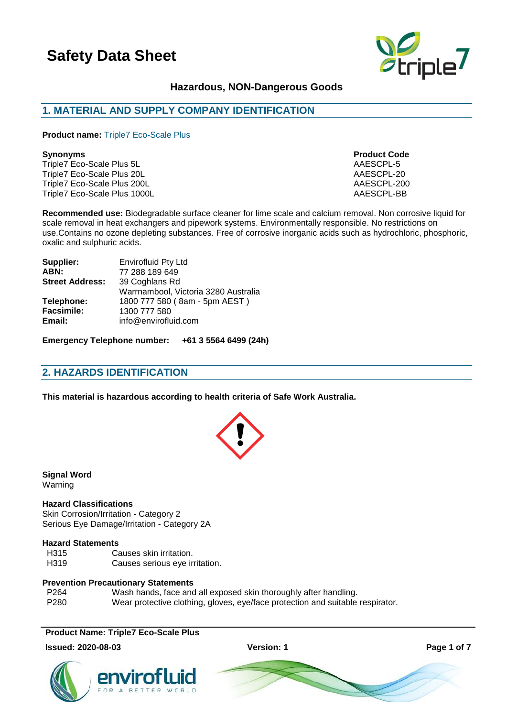

# **Hazardous, NON-Dangerous Goods**

# **1. MATERIAL AND SUPPLY COMPANY IDENTIFICATION**

**Product name:** Triple7 Eco-Scale Plus

Triple7 Eco-Scale Plus 5L AAESCPL-5 Triple7 Eco-Scale Plus 20L AAESCPL-20 Triple7 Eco-Scale Plus 200L AAESCPL-200 Triple7 Eco-Scale Plus 1000L **AAESCPL-BB** 

**Synonyms Product Code**

**Recommended use:** Biodegradable surface cleaner for lime scale and calcium removal. Non corrosive liquid for scale removal in heat exchangers and pipework systems. Environmentally responsible. No restrictions on use.Contains no ozone depleting substances. Free of corrosive inorganic acids such as hydrochloric, phosphoric, oxalic and sulphuric acids.

| Supplier:              | <b>Envirofluid Pty Ltd</b>           |
|------------------------|--------------------------------------|
| ABN:                   | 77 288 189 649                       |
| <b>Street Address:</b> | 39 Coghlans Rd                       |
|                        | Warrnambool, Victoria 3280 Australia |
| Telephone:             | 1800 777 580 (8am - 5pm AEST)        |
| <b>Facsimile:</b>      | 1300 777 580                         |
| Email:                 | info@envirofluid.com                 |

**Emergency Telephone number: +61 3 5564 6499 (24h)**

# **2. HAZARDS IDENTIFICATION**

**This material is hazardous according to health criteria of Safe Work Australia.**



**Signal Word** Warning

#### **Hazard Classifications**

Skin Corrosion/Irritation - Category 2 Serious Eye Damage/Irritation - Category 2A

#### **Hazard Statements**

H315 Causes skin irritation. H319 Causes serious eye irritation.

### **Prevention Precautionary Statements**

P264 Wash hands, face and all exposed skin thoroughly after handling. P280 Wear protective clothing, gloves, eye/face protection and suitable respirator.

### **Product Name: Triple7 Eco-Scale Plus**

#### **Issued: 2020-08-03 Version: 1 Page 1 of 7**

![](_page_0_Picture_25.jpeg)

![](_page_0_Picture_26.jpeg)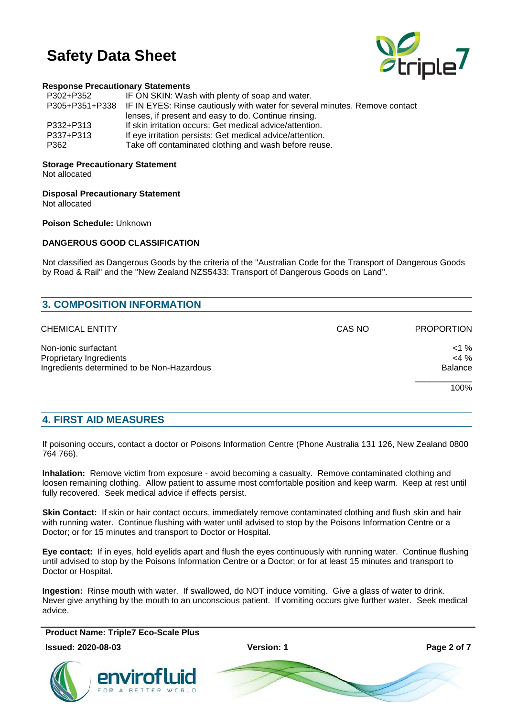![](_page_1_Picture_1.jpeg)

### **Response Precautionary Statements**

| P302+P352 | IF ON SKIN: Wash with plenty of soap and water.                                            |
|-----------|--------------------------------------------------------------------------------------------|
|           | P305+P351+P338 IF IN EYES: Rinse cautiously with water for several minutes. Remove contact |
|           | lenses, if present and easy to do. Continue rinsing.                                       |
| P332+P313 | If skin irritation occurs: Get medical advice/attention.                                   |
| P337+P313 | If eye irritation persists: Get medical advice/attention.                                  |
| P362      | Take off contaminated clothing and wash before reuse.                                      |

# **Storage Precautionary Statement**

Not allocated

**Disposal Precautionary Statement**

Not allocated

**Poison Schedule:** Unknown

### **DANGEROUS GOOD CLASSIFICATION**

Not classified as Dangerous Goods by the criteria of the "Australian Code for the Transport of Dangerous Goods by Road & Rail" and the "New Zealand NZS5433: Transport of Dangerous Goods on Land".

| CAS NO | <b>PROPORTION</b> |
|--------|-------------------|
|        | $< 1 \%$          |
|        | $<$ 4 %           |
|        | <b>Balance</b>    |
|        | 100%              |
|        |                   |

# **4. FIRST AID MEASURES**

If poisoning occurs, contact a doctor or Poisons Information Centre (Phone Australia 131 126, New Zealand 0800 764 766).

**Inhalation:** Remove victim from exposure - avoid becoming a casualty. Remove contaminated clothing and loosen remaining clothing. Allow patient to assume most comfortable position and keep warm. Keep at rest until fully recovered. Seek medical advice if effects persist.

**Skin Contact:** If skin or hair contact occurs, immediately remove contaminated clothing and flush skin and hair with running water. Continue flushing with water until advised to stop by the Poisons Information Centre or a Doctor; or for 15 minutes and transport to Doctor or Hospital.

**Eye contact:** If in eyes, hold eyelids apart and flush the eyes continuously with running water. Continue flushing until advised to stop by the Poisons Information Centre or a Doctor; or for at least 15 minutes and transport to Doctor or Hospital.

**Ingestion:** Rinse mouth with water. If swallowed, do NOT induce vomiting. Give a glass of water to drink. Never give anything by the mouth to an unconscious patient. If vomiting occurs give further water. Seek medical advice.

**Product Name: Triple7 Eco-Scale Plus**

### **Issued: 2020-08-03 Version: 1 Page 2 of 7**

![](_page_1_Picture_20.jpeg)

![](_page_1_Picture_23.jpeg)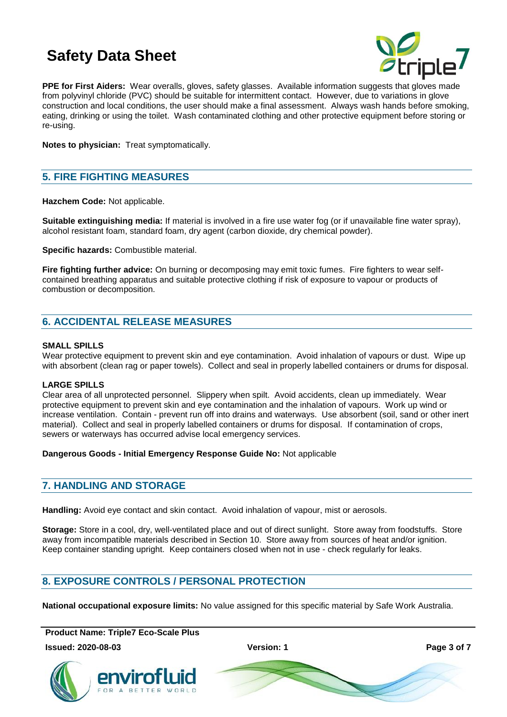![](_page_2_Picture_1.jpeg)

**PPE for First Aiders:** Wear overalls, gloves, safety glasses. Available information suggests that gloves made from polyvinyl chloride (PVC) should be suitable for intermittent contact. However, due to variations in glove construction and local conditions, the user should make a final assessment. Always wash hands before smoking, eating, drinking or using the toilet. Wash contaminated clothing and other protective equipment before storing or re-using.

**Notes to physician:** Treat symptomatically.

# **5. FIRE FIGHTING MEASURES**

**Hazchem Code:** Not applicable.

**Suitable extinguishing media:** If material is involved in a fire use water fog (or if unavailable fine water spray), alcohol resistant foam, standard foam, dry agent (carbon dioxide, dry chemical powder).

**Specific hazards:** Combustible material.

**Fire fighting further advice:** On burning or decomposing may emit toxic fumes. Fire fighters to wear selfcontained breathing apparatus and suitable protective clothing if risk of exposure to vapour or products of combustion or decomposition.

# **6. ACCIDENTAL RELEASE MEASURES**

#### **SMALL SPILLS**

Wear protective equipment to prevent skin and eye contamination. Avoid inhalation of vapours or dust. Wipe up with absorbent (clean rag or paper towels). Collect and seal in properly labelled containers or drums for disposal.

### **LARGE SPILLS**

Clear area of all unprotected personnel. Slippery when spilt. Avoid accidents, clean up immediately. Wear protective equipment to prevent skin and eye contamination and the inhalation of vapours. Work up wind or increase ventilation. Contain - prevent run off into drains and waterways. Use absorbent (soil, sand or other inert material). Collect and seal in properly labelled containers or drums for disposal. If contamination of crops, sewers or waterways has occurred advise local emergency services.

### **Dangerous Goods - Initial Emergency Response Guide No:** Not applicable

### **7. HANDLING AND STORAGE**

**Handling:** Avoid eye contact and skin contact. Avoid inhalation of vapour, mist or aerosols.

**Storage:** Store in a cool, dry, well-ventilated place and out of direct sunlight. Store away from foodstuffs. Store away from incompatible materials described in Section 10. Store away from sources of heat and/or ignition. Keep container standing upright. Keep containers closed when not in use - check regularly for leaks.

# **8. EXPOSURE CONTROLS / PERSONAL PROTECTION**

**National occupational exposure limits:** No value assigned for this specific material by Safe Work Australia.

**Product Name: Triple7 Eco-Scale Plus**

**Issued: 2020-08-03 Version: 1 Page 3 of 7**

![](_page_2_Picture_22.jpeg)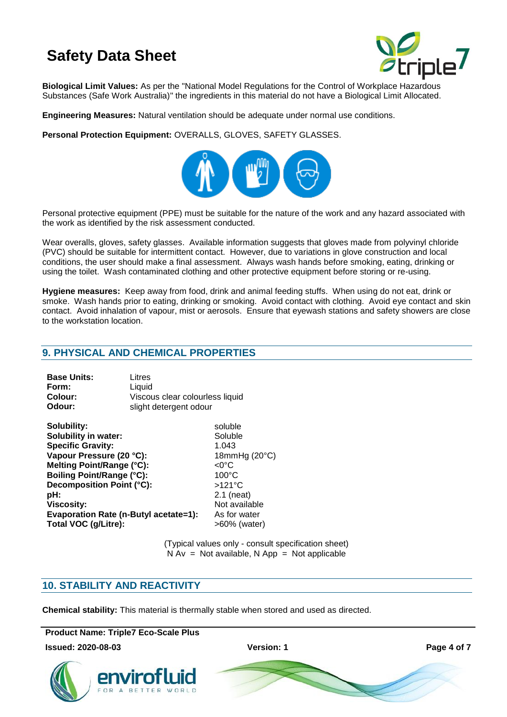![](_page_3_Picture_1.jpeg)

**Biological Limit Values:** As per the "National Model Regulations for the Control of Workplace Hazardous Substances (Safe Work Australia)" the ingredients in this material do not have a Biological Limit Allocated.

**Engineering Measures:** Natural ventilation should be adequate under normal use conditions.

**Personal Protection Equipment:** OVERALLS, GLOVES, SAFETY GLASSES.

![](_page_3_Picture_5.jpeg)

Personal protective equipment (PPE) must be suitable for the nature of the work and any hazard associated with the work as identified by the risk assessment conducted.

Wear overalls, gloves, safety glasses. Available information suggests that gloves made from polyvinyl chloride (PVC) should be suitable for intermittent contact. However, due to variations in glove construction and local conditions, the user should make a final assessment. Always wash hands before smoking, eating, drinking or using the toilet. Wash contaminated clothing and other protective equipment before storing or re-using.

**Hygiene measures:** Keep away from food, drink and animal feeding stuffs. When using do not eat, drink or smoke. Wash hands prior to eating, drinking or smoking. Avoid contact with clothing. Avoid eye contact and skin contact. Avoid inhalation of vapour, mist or aerosols. Ensure that eyewash stations and safety showers are close to the workstation location.

# **9. PHYSICAL AND CHEMICAL PROPERTIES**

| <b>Base Units:</b> | Litres                          |
|--------------------|---------------------------------|
| Form:              | Liauid                          |
| Colour:            | Viscous clear colourless liquid |
| Odour:             | slight detergent odour          |

**Solubility:** soluble **Solubility in water:** Soluble **Specific Gravity:** 1.043 Vapour Pressure (20 °C): 18mmHg (20 °C) **Melting Point/Range (°C):** <0°C **Boiling Point/Range (°C):** 100°C **Decomposition Point (°C):** >121°C **pH:** 2.1 (neat) **Viscosity:** Not available **Evaporation Rate (n-Butyl acetate=1):** As for water Total VOC (g/Litre):  $>60\%$  (water)

(Typical values only - consult specification sheet)  $N Av = Not available, N App = Not applicable$ 

# **10. STABILITY AND REACTIVITY**

**Chemical stability:** This material is thermally stable when stored and used as directed.

**Product Name: Triple7 Eco-Scale Plus**

**Issued: 2020-08-03 Version: 1 Page 4 of 7**

![](_page_3_Picture_20.jpeg)

![](_page_3_Picture_21.jpeg)

![](_page_3_Picture_22.jpeg)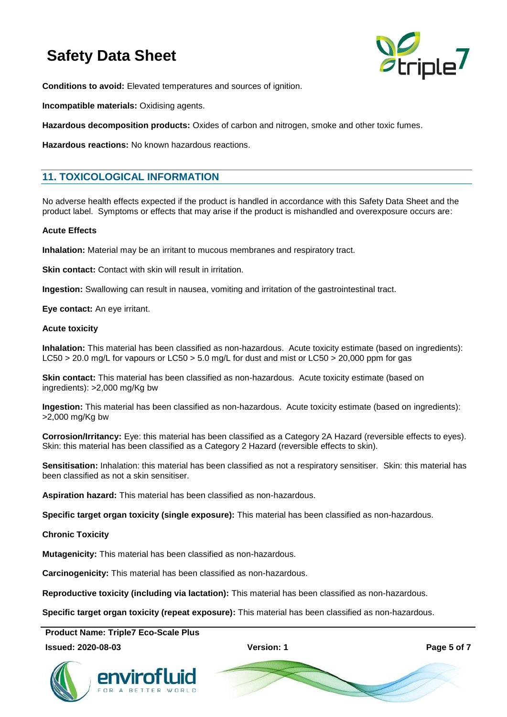![](_page_4_Picture_1.jpeg)

**Conditions to avoid:** Elevated temperatures and sources of ignition.

**Incompatible materials:** Oxidising agents.

**Hazardous decomposition products:** Oxides of carbon and nitrogen, smoke and other toxic fumes.

**Hazardous reactions:** No known hazardous reactions.

# **11. TOXICOLOGICAL INFORMATION**

No adverse health effects expected if the product is handled in accordance with this Safety Data Sheet and the product label. Symptoms or effects that may arise if the product is mishandled and overexposure occurs are:

#### **Acute Effects**

**Inhalation:** Material may be an irritant to mucous membranes and respiratory tract.

**Skin contact:** Contact with skin will result in irritation.

**Ingestion:** Swallowing can result in nausea, vomiting and irritation of the gastrointestinal tract.

**Eye contact:** An eye irritant.

#### **Acute toxicity**

**Inhalation:** This material has been classified as non-hazardous. Acute toxicity estimate (based on ingredients): LC50 > 20.0 mg/L for vapours or LC50 > 5.0 mg/L for dust and mist or LC50 > 20,000 ppm for gas

**Skin contact:** This material has been classified as non-hazardous. Acute toxicity estimate (based on ingredients): >2,000 mg/Kg bw

**Ingestion:** This material has been classified as non-hazardous. Acute toxicity estimate (based on ingredients): >2,000 mg/Kg bw

**Corrosion/Irritancy:** Eye: this material has been classified as a Category 2A Hazard (reversible effects to eyes). Skin: this material has been classified as a Category 2 Hazard (reversible effects to skin).

**Sensitisation:** Inhalation: this material has been classified as not a respiratory sensitiser. Skin: this material has been classified as not a skin sensitiser.

**Aspiration hazard:** This material has been classified as non-hazardous.

**Specific target organ toxicity (single exposure):** This material has been classified as non-hazardous.

**Chronic Toxicity**

**Mutagenicity:** This material has been classified as non-hazardous.

**Carcinogenicity:** This material has been classified as non-hazardous.

**Reproductive toxicity (including via lactation):** This material has been classified as non-hazardous.

**Specific target organ toxicity (repeat exposure):** This material has been classified as non-hazardous.

**Product Name: Triple7 Eco-Scale Plus**

### **Issued: 2020-08-03 Version: 1 Page 5 of 7**

![](_page_4_Picture_30.jpeg)

![](_page_4_Picture_31.jpeg)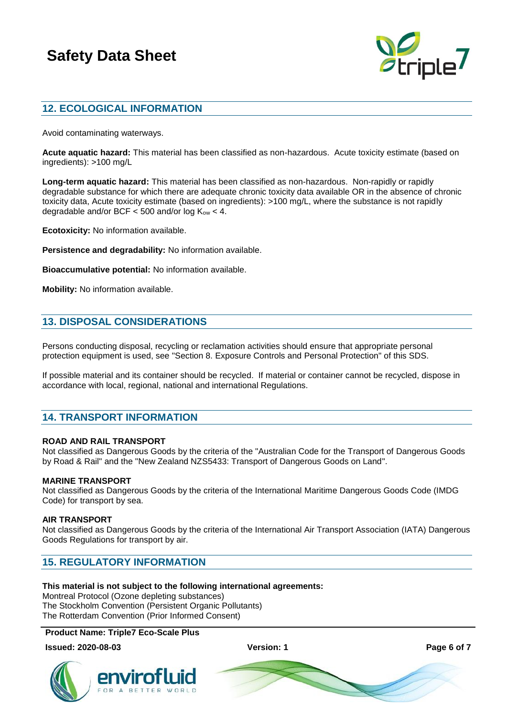![](_page_5_Picture_1.jpeg)

# **12. ECOLOGICAL INFORMATION**

Avoid contaminating waterways.

**Acute aquatic hazard:** This material has been classified as non-hazardous. Acute toxicity estimate (based on ingredients): >100 mg/L

**Long-term aquatic hazard:** This material has been classified as non-hazardous. Non-rapidly or rapidly degradable substance for which there are adequate chronic toxicity data available OR in the absence of chronic toxicity data, Acute toxicity estimate (based on ingredients): >100 mg/L, where the substance is not rapidly degradable and/or BCF  $<$  500 and/or log K<sub>ow</sub>  $<$  4.

**Ecotoxicity:** No information available.

**Persistence and degradability:** No information available.

**Bioaccumulative potential:** No information available.

**Mobility:** No information available.

# **13. DISPOSAL CONSIDERATIONS**

Persons conducting disposal, recycling or reclamation activities should ensure that appropriate personal protection equipment is used, see "Section 8. Exposure Controls and Personal Protection" of this SDS.

If possible material and its container should be recycled. If material or container cannot be recycled, dispose in accordance with local, regional, national and international Regulations.

# **14. TRANSPORT INFORMATION**

### **ROAD AND RAIL TRANSPORT**

Not classified as Dangerous Goods by the criteria of the "Australian Code for the Transport of Dangerous Goods by Road & Rail" and the "New Zealand NZS5433: Transport of Dangerous Goods on Land".

#### **MARINE TRANSPORT**

Not classified as Dangerous Goods by the criteria of the International Maritime Dangerous Goods Code (IMDG Code) for transport by sea.

#### **AIR TRANSPORT**

Not classified as Dangerous Goods by the criteria of the International Air Transport Association (IATA) Dangerous Goods Regulations for transport by air.

# **15. REGULATORY INFORMATION**

### **This material is not subject to the following international agreements:**

Montreal Protocol (Ozone depleting substances) The Stockholm Convention (Persistent Organic Pollutants) The Rotterdam Convention (Prior Informed Consent)

### **Product Name: Triple7 Eco-Scale Plus**

#### **Issued: 2020-08-03 Version: 1 Page 6 of 7**

![](_page_5_Picture_27.jpeg)

![](_page_5_Picture_28.jpeg)